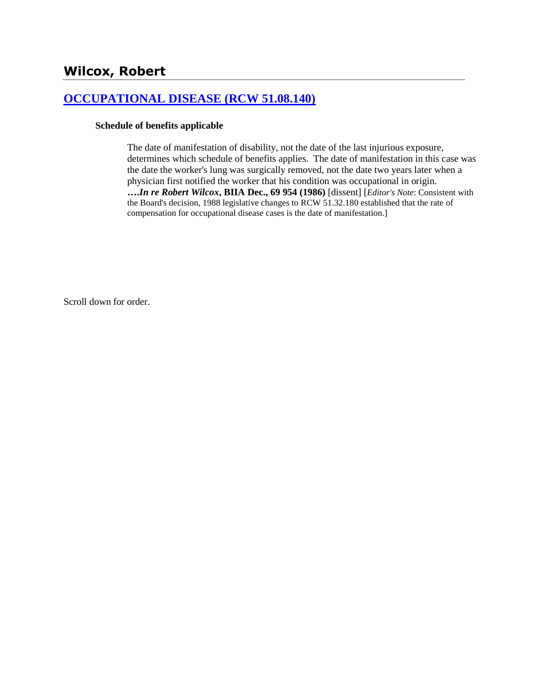# **Wilcox, Robert**

### **[OCCUPATIONAL DISEASE \(RCW 51.08.140\)](http://www.biia.wa.gov/SDSubjectIndex.html#OCCUPATIONAL_DISEASE)**

### **Schedule of benefits applicable**

The date of manifestation of disability, not the date of the last injurious exposure, determines which schedule of benefits applies. The date of manifestation in this case was the date the worker's lung was surgically removed, not the date two years later when a physician first notified the worker that his condition was occupational in origin. **….***In re Robert Wilcox***, BIIA Dec., 69 954 (1986)** [dissent] [*Editor's Note*: Consistent with the Board's decision, 1988 legislative changes to RCW 51.32.180 established that the rate of compensation for occupational disease cases is the date of manifestation.]

Scroll down for order.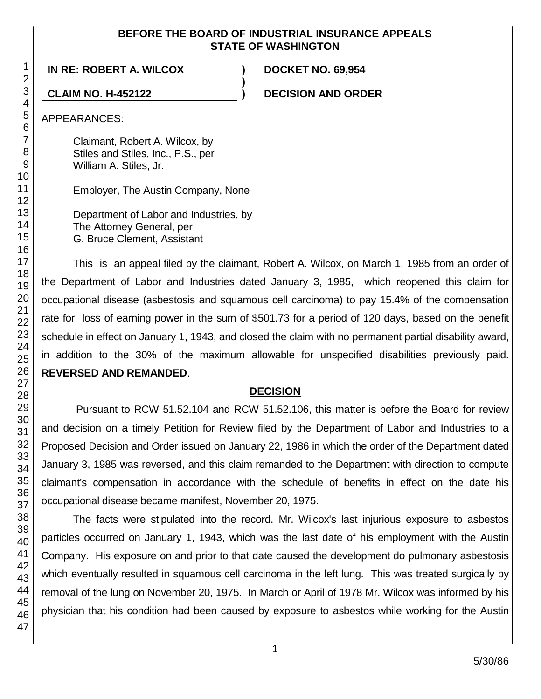### **BEFORE THE BOARD OF INDUSTRIAL INSURANCE APPEALS STATE OF WASHINGTON**

**)**

**IN RE: ROBERT A. WILCOX ) DOCKET NO. 69,954**

**CLAIM NO. H-452122 ) DECISION AND ORDER**

APPEARANCES:

Claimant, Robert A. Wilcox, by Stiles and Stiles, Inc., P.S., per William A. Stiles, Jr.

Employer, The Austin Company, None

Department of Labor and Industries, by The Attorney General, per G. Bruce Clement, Assistant

This is an appeal filed by the claimant, Robert A. Wilcox, on March 1, 1985 from an order of the Department of Labor and Industries dated January 3, 1985, which reopened this claim for occupational disease (asbestosis and squamous cell carcinoma) to pay 15.4% of the compensation rate for loss of earning power in the sum of \$501.73 for a period of 120 days, based on the benefit schedule in effect on January 1, 1943, and closed the claim with no permanent partial disability award, in addition to the 30% of the maximum allowable for unspecified disabilities previously paid. **REVERSED AND REMANDED**.

### **DECISION**

Pursuant to RCW 51.52.104 and RCW 51.52.106, this matter is before the Board for review and decision on a timely Petition for Review filed by the Department of Labor and Industries to a Proposed Decision and Order issued on January 22, 1986 in which the order of the Department dated January 3, 1985 was reversed, and this claim remanded to the Department with direction to compute claimant's compensation in accordance with the schedule of benefits in effect on the date his occupational disease became manifest, November 20, 1975.

The facts were stipulated into the record. Mr. Wilcox's last injurious exposure to asbestos particles occurred on January 1, 1943, which was the last date of his employment with the Austin Company. His exposure on and prior to that date caused the development do pulmonary asbestosis which eventually resulted in squamous cell carcinoma in the left lung. This was treated surgically by removal of the lung on November 20, 1975. In March or April of 1978 Mr. Wilcox was informed by his physician that his condition had been caused by exposure to asbestos while working for the Austin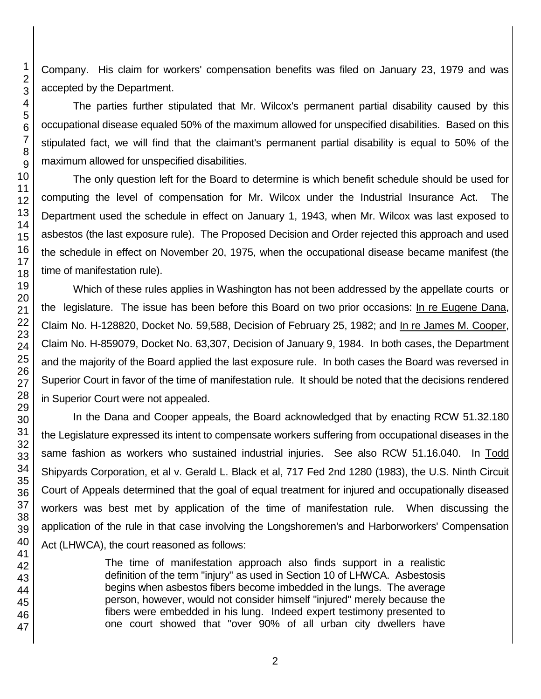Company. His claim for workers' compensation benefits was filed on January 23, 1979 and was accepted by the Department.

The parties further stipulated that Mr. Wilcox's permanent partial disability caused by this occupational disease equaled 50% of the maximum allowed for unspecified disabilities. Based on this stipulated fact, we will find that the claimant's permanent partial disability is equal to 50% of the maximum allowed for unspecified disabilities.

The only question left for the Board to determine is which benefit schedule should be used for computing the level of compensation for Mr. Wilcox under the Industrial Insurance Act. The Department used the schedule in effect on January 1, 1943, when Mr. Wilcox was last exposed to asbestos (the last exposure rule). The Proposed Decision and Order rejected this approach and used the schedule in effect on November 20, 1975, when the occupational disease became manifest (the time of manifestation rule).

Which of these rules applies in Washington has not been addressed by the appellate courts or the legislature. The issue has been before this Board on two prior occasions: In re Eugene Dana, Claim No. H-128820, Docket No. 59,588, Decision of February 25, 1982; and In re James M. Cooper, Claim No. H-859079, Docket No. 63,307, Decision of January 9, 1984. In both cases, the Department and the majority of the Board applied the last exposure rule. In both cases the Board was reversed in Superior Court in favor of the time of manifestation rule. It should be noted that the decisions rendered in Superior Court were not appealed.

In the Dana and Cooper appeals, the Board acknowledged that by enacting RCW 51.32.180 the Legislature expressed its intent to compensate workers suffering from occupational diseases in the same fashion as workers who sustained industrial injuries. See also RCW 51.16.040. In Todd Shipyards Corporation, et al v. Gerald L. Black et al, 717 Fed 2nd 1280 (1983), the U.S. Ninth Circuit Court of Appeals determined that the goal of equal treatment for injured and occupationally diseased workers was best met by application of the time of manifestation rule. When discussing the application of the rule in that case involving the Longshoremen's and Harborworkers' Compensation Act (LHWCA), the court reasoned as follows:

> The time of manifestation approach also finds support in a realistic definition of the term "injury" as used in Section 10 of LHWCA. Asbestosis begins when asbestos fibers become imbedded in the lungs. The average person, however, would not consider himself "injured" merely because the fibers were embedded in his lung. Indeed expert testimony presented to one court showed that "over 90% of all urban city dwellers have

1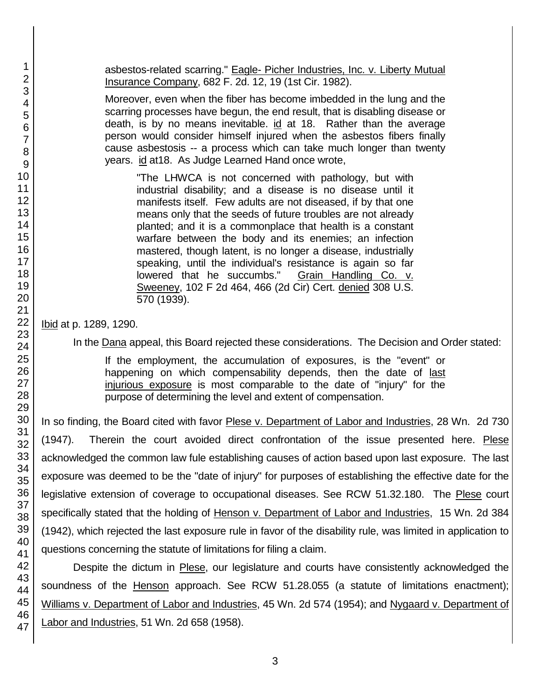| 1<br>$\overline{2}$                                            | asbestos-related scarring." Eagle- Picher Industries, Inc. v. Liberty Mutual<br>Insurance Company, 682 F. 2d. 12, 19 (1st Cir. 1982).                                                                                                                                                                                                                                                                                                                                                                                                                                                                                                           |  |  |
|----------------------------------------------------------------|-------------------------------------------------------------------------------------------------------------------------------------------------------------------------------------------------------------------------------------------------------------------------------------------------------------------------------------------------------------------------------------------------------------------------------------------------------------------------------------------------------------------------------------------------------------------------------------------------------------------------------------------------|--|--|
| 3<br>4<br>5<br>$\,6$<br>$\overline{7}$<br>8<br>$9$             | Moreover, even when the fiber has become imbedded in the lung and the<br>scarring processes have begun, the end result, that is disabling disease or<br>death, is by no means inevitable. id at 18. Rather than the average<br>person would consider himself injured when the asbestos fibers finally<br>cause asbestosis -- a process which can take much longer than twenty<br>years. id at 18. As Judge Learned Hand once wrote,                                                                                                                                                                                                             |  |  |
| 10<br>11<br>12<br>13<br>14<br>15<br>16<br>17<br>18<br>19<br>20 | "The LHWCA is not concerned with pathology, but with<br>industrial disability; and a disease is no disease until it<br>manifests itself. Few adults are not diseased, if by that one<br>means only that the seeds of future troubles are not already<br>planted; and it is a commonplace that health is a constant<br>warfare between the body and its enemies; an infection<br>mastered, though latent, is no longer a disease, industrially<br>speaking, until the individual's resistance is again so far<br>lowered that he succumbs."<br>Grain Handling Co. v.<br>Sweeney, 102 F 2d 464, 466 (2d Cir) Cert. denied 308 U.S.<br>570 (1939). |  |  |
| 21<br>22                                                       | <u>Ibid</u> at p. 1289, 1290.                                                                                                                                                                                                                                                                                                                                                                                                                                                                                                                                                                                                                   |  |  |
|                                                                | 23<br>In the Dana appeal, this Board rejected these considerations. The Decision and Order stated:<br>24                                                                                                                                                                                                                                                                                                                                                                                                                                                                                                                                        |  |  |
| 25<br>26<br>27<br>28<br>29                                     | If the employment, the accumulation of exposures, is the "event" or<br>happening on which compensability depends, then the date of last<br>injurious exposure is most comparable to the date of "injury" for the<br>purpose of determining the level and extent of compensation.                                                                                                                                                                                                                                                                                                                                                                |  |  |
| 30                                                             | In so finding, the Board cited with favor Plese v. Department of Labor and Industries, 28 Wn. 2d 730                                                                                                                                                                                                                                                                                                                                                                                                                                                                                                                                            |  |  |
| 31<br>32                                                       | Therein the court avoided direct confrontation of the issue presented here. Plese<br>(1947).                                                                                                                                                                                                                                                                                                                                                                                                                                                                                                                                                    |  |  |
| 33<br>34                                                       | acknowledged the common law fule establishing causes of action based upon last exposure. The last                                                                                                                                                                                                                                                                                                                                                                                                                                                                                                                                               |  |  |
| 35                                                             | exposure was deemed to be the "date of injury" for purposes of establishing the effective date for the                                                                                                                                                                                                                                                                                                                                                                                                                                                                                                                                          |  |  |
| 36<br>37                                                       | legislative extension of coverage to occupational diseases. See RCW 51.32.180. The Plese court<br>specifically stated that the holding of Henson v. Department of Labor and Industries, 15 Wn. 2d 384<br>(1942), which rejected the last exposure rule in favor of the disability rule, was limited in application to                                                                                                                                                                                                                                                                                                                           |  |  |
| 38                                                             |                                                                                                                                                                                                                                                                                                                                                                                                                                                                                                                                                                                                                                                 |  |  |
| 39<br>40                                                       |                                                                                                                                                                                                                                                                                                                                                                                                                                                                                                                                                                                                                                                 |  |  |
| 41                                                             | questions concerning the statute of limitations for filing a claim.                                                                                                                                                                                                                                                                                                                                                                                                                                                                                                                                                                             |  |  |
| 42<br>43                                                       | Despite the dictum in Plese, our legislature and courts have consistently acknowledged the                                                                                                                                                                                                                                                                                                                                                                                                                                                                                                                                                      |  |  |
| 44                                                             | soundness of the Henson approach. See RCW 51.28.055 (a statute of limitations enactment);                                                                                                                                                                                                                                                                                                                                                                                                                                                                                                                                                       |  |  |
| 45                                                             | Williams v. Department of Labor and Industries, 45 Wn. 2d 574 (1954); and Nygaard v. Department of                                                                                                                                                                                                                                                                                                                                                                                                                                                                                                                                              |  |  |

Williams v. Department of Labor and Industries, 45 Wn. 2d 574 (1954); and Nygaard v. Department of Labor and Industries, 51 Wn. 2d 658 (1958).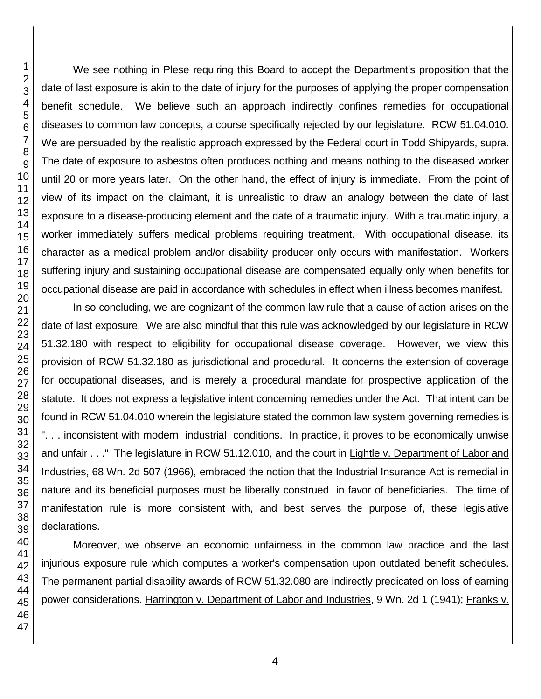We see nothing in Plese requiring this Board to accept the Department's proposition that the date of last exposure is akin to the date of injury for the purposes of applying the proper compensation benefit schedule. We believe such an approach indirectly confines remedies for occupational diseases to common law concepts, a course specifically rejected by our legislature. RCW 51.04.010. We are persuaded by the realistic approach expressed by the Federal court in Todd Shipyards, supra. The date of exposure to asbestos often produces nothing and means nothing to the diseased worker until 20 or more years later. On the other hand, the effect of injury is immediate. From the point of view of its impact on the claimant, it is unrealistic to draw an analogy between the date of last exposure to a disease-producing element and the date of a traumatic injury. With a traumatic injury, a worker immediately suffers medical problems requiring treatment. With occupational disease, its character as a medical problem and/or disability producer only occurs with manifestation. Workers suffering injury and sustaining occupational disease are compensated equally only when benefits for occupational disease are paid in accordance with schedules in effect when illness becomes manifest.

In so concluding, we are cognizant of the common law rule that a cause of action arises on the date of last exposure. We are also mindful that this rule was acknowledged by our legislature in RCW 51.32.180 with respect to eligibility for occupational disease coverage. However, we view this provision of RCW 51.32.180 as jurisdictional and procedural. It concerns the extension of coverage for occupational diseases, and is merely a procedural mandate for prospective application of the statute. It does not express a legislative intent concerning remedies under the Act. That intent can be found in RCW 51.04.010 wherein the legislature stated the common law system governing remedies is ". . . inconsistent with modern industrial conditions. In practice, it proves to be economically unwise and unfair . . ." The legislature in RCW 51.12.010, and the court in Lightle v. Department of Labor and Industries, 68 Wn. 2d 507 (1966), embraced the notion that the Industrial Insurance Act is remedial in nature and its beneficial purposes must be liberally construed in favor of beneficiaries. The time of manifestation rule is more consistent with, and best serves the purpose of, these legislative declarations.

Moreover, we observe an economic unfairness in the common law practice and the last injurious exposure rule which computes a worker's compensation upon outdated benefit schedules. The permanent partial disability awards of RCW 51.32.080 are indirectly predicated on loss of earning power considerations. Harrington v. Department of Labor and Industries, 9 Wn. 2d 1 (1941); Franks v.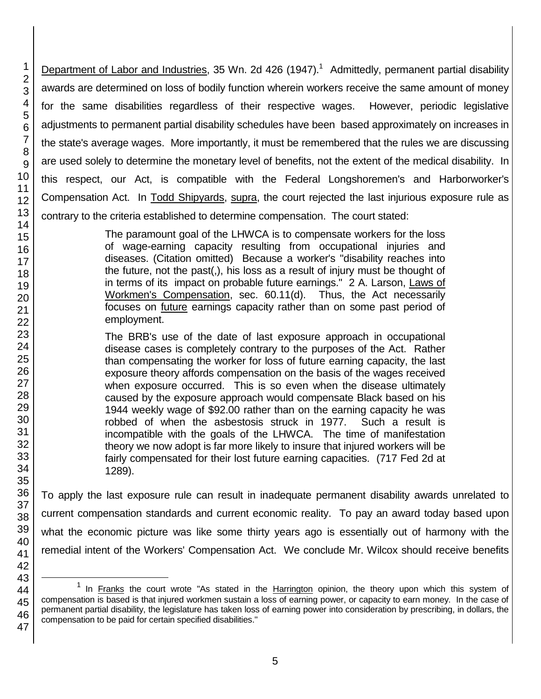Department of Labor and Industries, 35 Wn. 2d 426 (1947).<sup>1</sup> Admittedly, permanent partial disability awards are determined on loss of bodily function wherein workers receive the same amount of money for the same disabilities regardless of their respective wages. However, periodic legislative adjustments to permanent partial disability schedules have been based approximately on increases in the state's average wages. More importantly, it must be remembered that the rules we are discussing are used solely to determine the monetary level of benefits, not the extent of the medical disability. In this respect, our Act, is compatible with the Federal Longshoremen's and Harborworker's Compensation Act. In Todd Shipyards, supra, the court rejected the last injurious exposure rule as contrary to the criteria established to determine compensation. The court stated:

> The paramount goal of the LHWCA is to compensate workers for the loss of wage-earning capacity resulting from occupational injuries and diseases. (Citation omitted) Because a worker's "disability reaches into the future, not the past(,), his loss as a result of injury must be thought of in terms of its impact on probable future earnings." 2 A. Larson, Laws of Workmen's Compensation, sec. 60.11(d). Thus, the Act necessarily focuses on future earnings capacity rather than on some past period of employment.

> The BRB's use of the date of last exposure approach in occupational disease cases is completely contrary to the purposes of the Act. Rather than compensating the worker for loss of future earning capacity, the last exposure theory affords compensation on the basis of the wages received when exposure occurred. This is so even when the disease ultimately caused by the exposure approach would compensate Black based on his 1944 weekly wage of \$92.00 rather than on the earning capacity he was robbed of when the asbestosis struck in 1977. Such a result is incompatible with the goals of the LHWCA. The time of manifestation theory we now adopt is far more likely to insure that injured workers will be fairly compensated for their lost future earning capacities. (717 Fed 2d at 1289).

To apply the last exposure rule can result in inadequate permanent disability awards unrelated to current compensation standards and current economic reality. To pay an award today based upon what the economic picture was like some thirty years ago is essentially out of harmony with the remedial intent of the Workers' Compensation Act. We conclude Mr. Wilcox should receive benefits

l

 $\begin{array}{c|c}\n 44 & \end{array}$  1  $1$  In Franks the court wrote "As stated in the Harrington opinion, the theory upon which this system of compensation is based is that injured workmen sustain a loss of earning power, or capacity to earn money. In the case of permanent partial disability, the legislature has taken loss of earning power into consideration by prescribing, in dollars, the compensation to be paid for certain specified disabilities."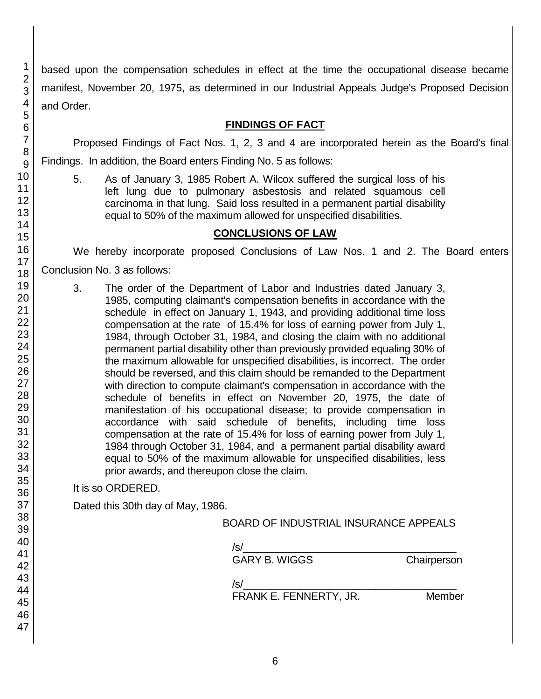based upon the compensation schedules in effect at the time the occupational disease became manifest, November 20, 1975, as determined in our Industrial Appeals Judge's Proposed Decision and Order.

### **FINDINGS OF FACT**

Proposed Findings of Fact Nos. 1, 2, 3 and 4 are incorporated herein as the Board's final Findings. In addition, the Board enters Finding No. 5 as follows:

5. As of January 3, 1985 Robert A. Wilcox suffered the surgical loss of his left lung due to pulmonary asbestosis and related squamous cell carcinoma in that lung. Said loss resulted in a permanent partial disability equal to 50% of the maximum allowed for unspecified disabilities.

## **CONCLUSIONS OF LAW**

We hereby incorporate proposed Conclusions of Law Nos. 1 and 2. The Board enters Conclusion No. 3 as follows:

3. The order of the Department of Labor and Industries dated January 3, 1985, computing claimant's compensation benefits in accordance with the schedule in effect on January 1, 1943, and providing additional time loss compensation at the rate of 15.4% for loss of earning power from July 1, 1984, through October 31, 1984, and closing the claim with no additional permanent partial disability other than previously provided equaling 30% of the maximum allowable for unspecified disabilities, is incorrect. The order should be reversed, and this claim should be remanded to the Department with direction to compute claimant's compensation in accordance with the schedule of benefits in effect on November 20, 1975, the date of manifestation of his occupational disease; to provide compensation in accordance with said schedule of benefits, including time loss compensation at the rate of 15.4% for loss of earning power from July 1, 1984 through October 31, 1984, and a permanent partial disability award equal to 50% of the maximum allowable for unspecified disabilities, less prior awards, and thereupon close the claim.

It is so ORDERED.

Dated this 30th day of May, 1986.

BOARD OF INDUSTRIAL INSURANCE APPEALS

| /S/                    |             |
|------------------------|-------------|
| <b>GARY B. WIGGS</b>   | Chairperson |
| /sı                    |             |
| FRANK E. FENNERTY, JR. | Member      |